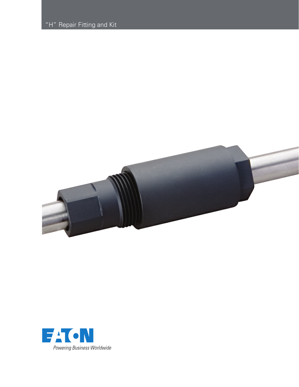

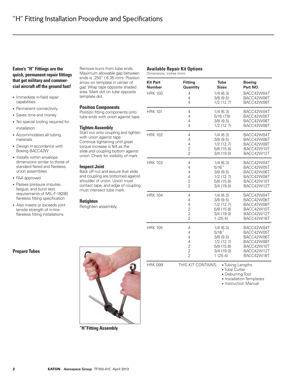# **Eaton's "H" Fittings are the quick, permanent repair fittings that get military and commercial aircraft off the ground fast!**

- Immediate in-field repair capabilities
- Permanent connectivity
- Saves time and money
- No special tooling required for installation
- Accommodates all tubing materials
- Design in accordance with Boeing BACC42W
- Installs within envelope dimensions similar to those of standard flared and flareless union assemblies
- FAA approved
- Passes pressure impulse, fatigue, and burst test requirements of MIL-F-18280 flareless fitting specification
- Also meets or exceeds joint tensile strength of in-line flareless fitting installations

Remove burrs from tube ends. Maximum allowable gap between ends is .250" ( 6.35 mm). Position arrow on template in center of gap. Wrap tape opposite shaded area. Mark dot on tube opposite template dot.

### **Position Components**

Position fitting components onto tube ends with union against tape

#### **Tighten Assembly**

Start nut onto coupling and tighte with union against tape. Continue tightening until great torque increase is felt as the slide and coupling bottom against union. Check for visibility of mark.

## **Inspect Joint**

Back off nut and assure that slide and coupling are bottomed agains shoulder of union. Union must contact tape, and edge of couplin must intersect tube mark.

## **Retighten**

Retighten assembly.

| <b>Kit Part</b> | <b>Fitting</b>                                                                | <b>Tube</b>                                                                      | <b>Boeing</b>                                                                                  |
|-----------------|-------------------------------------------------------------------------------|----------------------------------------------------------------------------------|------------------------------------------------------------------------------------------------|
| <b>Number</b>   | <b>Quantity</b>                                                               | <b>Sizes</b>                                                                     | Part NO.                                                                                       |
| <b>HRK 100</b>  | $\overline{4}$                                                                | 1/4(6.3)                                                                         | BACC42W04T                                                                                     |
|                 | $\overline{4}$                                                                | 3/8(9.5)                                                                         | BACC42W06T                                                                                     |
|                 | 4                                                                             | 1/2(12.7)                                                                        | BACC42W08T                                                                                     |
| <b>HRK 101</b>  | 4                                                                             | 1/4(6.3)                                                                         | BACC42W04T                                                                                     |
|                 | $\overline{4}$                                                                | 5/16(7.9)                                                                        | BACC42W05T                                                                                     |
|                 | $\overline{4}$                                                                | 3/8(9.5)                                                                         | BACC42W06T                                                                                     |
|                 | $\overline{4}$                                                                | 1/2(12.7)                                                                        | BACC42W08T                                                                                     |
| <b>HRK 102</b>  | $\overline{4}$                                                                | 1/4(6.3)                                                                         | BACC42W04T                                                                                     |
|                 | $\overline{4}$                                                                | 3/8(9.5)                                                                         | BACC42W06T                                                                                     |
|                 | 4                                                                             | 1/2(12.7)                                                                        | BACC42W08T                                                                                     |
|                 | $\overline{2}$                                                                | 5/8(15.8)                                                                        | BACC42W10T                                                                                     |
|                 | $\overline{2}$                                                                | 3/4(19.0)                                                                        | BACC42W12T                                                                                     |
| <b>HRK 103</b>  | $\overline{4}$                                                                | 1/4(6.3)                                                                         | BACC42W04T                                                                                     |
|                 | 4                                                                             | 5/16''                                                                           | BACC42W05T                                                                                     |
|                 | $\overline{4}$                                                                | 3/8(9.5)                                                                         | BACC42W06T                                                                                     |
|                 | 4                                                                             | 1/2(12.7)                                                                        | BACC42W08T                                                                                     |
|                 | $\overline{c}$                                                                | 5/8(15.8)                                                                        | BACC42W10T                                                                                     |
|                 | $\overline{2}$                                                                | 3/4(19.0)                                                                        | BACC42W12T                                                                                     |
| <b>HRK 104</b>  | $\overline{4}$<br>4<br>4<br>$\frac{2}{2}$<br>$\overline{2}$                   | 1/4(6.3)<br>3/8(9.5)<br>1/2(12.7)<br>5/8(15.8)<br>3/4(19.0)<br>1(25.4)           | BACC42W04T<br>BACC42W06T<br>BACC42W08T<br>BACC42W10T<br>BACC42W12T<br>BACC42W16T               |
| <b>HRK 105</b>  | 4<br>$\overline{4}$<br>4<br>$\overline{4}$<br>$\frac{2}{2}$<br>$\overline{2}$ | 1/4(6.3)<br>5/16''<br>3/8(9.5)<br>1/2(12.7)<br>5/8(15.8)<br>3/4(19.0)<br>1(25.4) | BACC42W04T<br>BACC42W05T<br>BACC42W06T<br>BACC42W08T<br>BACC42W10T<br>BACC42W12T<br>BACC42W16T |

**Available Repair Kit Options**

Dimensions: inches (mm)

HRK 099 THIS KIT CONTAINS: . Tubing Lengths

• Tube Cutter

• Deburring Tool

• Installation Templates

• Instruction Manual

# **Prepare Tubes**



**"H"Fitting Assembly**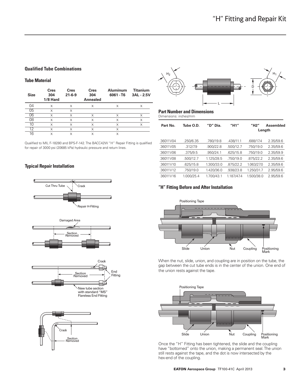### **Qualified Tube Combinations**

## **Tube Material**

| <b>Size</b> | <b>Cres</b><br>304<br>1/8 Hard | <b>Cres</b><br>$21 - 6 - 9$ | <b>Cres</b><br>304<br><b>Annealed</b> | <b>Aluminum</b><br>6061 - T6 | <b>Titanium</b><br>3AL - 2.5V |
|-------------|--------------------------------|-----------------------------|---------------------------------------|------------------------------|-------------------------------|
| 04          | X                              | X                           | X                                     | X                            | X                             |
| 05          | X                              | X                           |                                       |                              |                               |
| 06          | X                              | X                           | X                                     | X                            | X                             |
| 08          | X                              | X                           | X                                     | X                            | X                             |
| 10          | X                              | X                           | X                                     | X                            | X                             |
| 12          | X                              | X                           | X                                     | X                            |                               |
| 16          | X                              | X                           | X                                     | X                            |                               |

Qualified to MIL F-18280 and BPS-F-142. The BACC42W "H" Repair Fitting is qualified for repair of 3000 psi (20685 kPa) hydraulic pressure and return lines.

## **Typical Repair Installation**









### **Part Number and Dimensions**

Dimensions: inches/mm<br>
<u></u>

| Part No. | Tube O.D.  | "D" Dia.   | "H1"       | "H <sub>2</sub> "<br>Length | <b>Assembled</b> |
|----------|------------|------------|------------|-----------------------------|------------------|
| 36011V04 | .250/6.35  | .780/19.8  | .438/11.1  | .688/17.4                   | 2.35/59.6        |
| 36011V05 | .312/7.9   | .900/22.8  | .500/12.7  | .750/19.0                   | 2.35/59.6        |
| 36011V06 | .375/9.5   | .950/24.1  | .625/15.8  | .750/19.0                   | 2.35/59.9        |
| 36011V08 | .500/12.7  | 1.125/28.5 | .750/19.0  | .875/22.2                   | 2.35/59.6        |
| 36011V10 | .625/15.8  | 1.300/33.0 | .875/22.2  | 1.063/27.0                  | 2.35/59.6        |
| 36011V12 | .750/19.0  | 1.420/36.0 | .938/23.8  | 1.250/31.7                  | 2.95/59.6        |
| 36011V16 | 1.000/25.4 | 1.700/43.1 | 1.187/47.4 | 1.500/38.0                  | 2.95/59.6        |

## **"H" Fitting Before and After Installation**



When the nut, slide, union, and coupling are in position on the tube, the gap between the cut tube ends is in the center of the union. One end of the union rests against the tape.



Once the "H" Fitting has been tightened, the slide and the coupling have "bottomed" onto the union, making a permanent seal. The union still rests against the tape, and the dot is now intersected by the hex-end of the coupling.